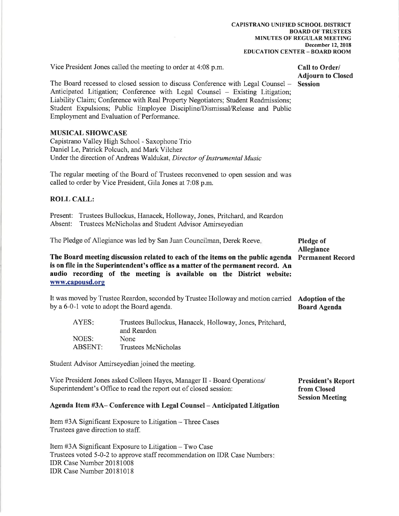Vice President Jones called the meeting to order at 4:08 p.m.

#### Call to Order/ **Adjourn to Closed Session**

The Board recessed to closed session to discuss Conference with Legal Counsel -Anticipated Litigation; Conference with Legal Counsel – Existing Litigation; Liability Claim; Conference with Real Property Negotiators; Student Readmissions; Student Expulsions; Public Employee Discipline/Dismissal/Release and Public Employment and Evaluation of Performance.

#### **MUSICAL SHOWCASE**

Capistrano Valley High School - Saxophone Trio Daniel Le, Patrick Polcuch, and Mark Vilchez Under the direction of Andreas Waldukat, Director of Instrumental Music

The regular meeting of the Board of Trustees reconvened to open session and was called to order by Vice President, Gila Jones at 7:08 p.m.

#### **ROLL CALL:**

Present: Trustees Bullockus, Hanacek, Holloway, Jones, Pritchard, and Reardon Absent: Trustees McNicholas and Student Advisor Amirseyedian

The Pledge of Allegiance was led by San Juan Councilman, Derek Reeve. **Pledge of Allegiance** The Board meeting discussion related to each of the items on the public agenda **Permanent Record** is on file in the Superintendent's office as a matter of the permanent record. An audio recording of the meeting is available on the District website: www.capousd.org

It was moved by Trustee Reardon, seconded by Trustee Holloway and motion carried Adoption of the by a 6-0-1 vote to adopt the Board agenda. **Board Agenda** 

| AYES:          | Trustees Bullockus, Hanacek, Holloway, Jones, Pritchard, |
|----------------|----------------------------------------------------------|
|                | and Reardon                                              |
| NOES:          | None.                                                    |
| <b>ABSENT:</b> | Trustees McNicholas                                      |

Student Advisor Amirseyedian joined the meeting.

| Vice President Jones asked Colleen Hayes, Manager II - Board Operations/ | <b>President's Report</b> |
|--------------------------------------------------------------------------|---------------------------|
| Superintendent's Office to read the report out of closed session:        | from Closed               |
|                                                                          | <b>Session Meeting</b>    |

#### Agenda Item #3A-Conference with Legal Counsel - Anticipated Litigation

Item #3A Significant Exposure to Litigation – Three Cases Trustees gave direction to staff.

Item #3A Significant Exposure to Litigation – Two Case Trustees voted 5-0-2 to approve staff recommendation on IDR Case Numbers: IDR Case Number 20181008 IDR Case Number 20181018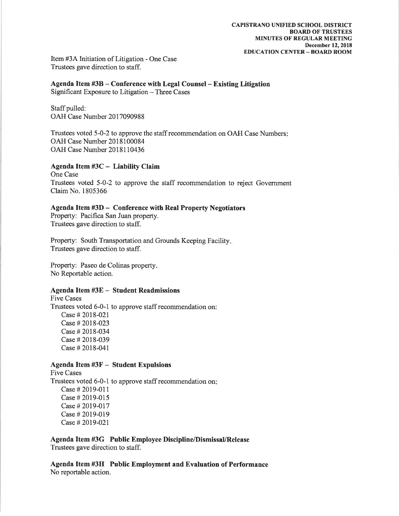Item #3A Initiation of Litigation - One Case Trustees gave direction to staff.

Agenda Item #3B – Conference with Legal Counsel – Existing Litigation Significant Exposure to Litigation - Three Cases

Staff pulled: OAH Case Number 2017090988

Trustees voted 5-0-2 to approve the staff recommendation on OAH Case Numbers: OAH Case Number 2018100084 OAH Case Number 2018110436

#### Agenda Item #3C - Liability Claim

One Case Trustees voted 5-0-2 to approve the staff recommendation to reject Government Claim No. 1805366

#### Agenda Item #3D - Conference with Real Property Negotiators

Property: Pacifica San Juan property. Trustees gave direction to staff.

Property: South Transportation and Grounds Keeping Facility. Trustees gave direction to staff.

Property: Paseo de Colinas property. No Reportable action.

#### Agenda Item #3E - Student Readmissions

**Five Cases** Trustees voted 6-0-1 to approve staff recommendation on: Case # 2018-021 Case # 2018-023 Case # 2018-034 Case # 2018-039 Case # 2018-041

#### **Agenda Item #3F - Student Expulsions**

**Five Cases** Trustees voted 6-0-1 to approve staff recommendation on: Case # 2019-011 Case # 2019-015 Case # 2019-017 Case # 2019-019 Case # 2019-021

Agenda Item #3G Public Employee Discipline/Dismissal/Release Trustees gave direction to staff.

Agenda Item #3H Public Employment and Evaluation of Performance No reportable action.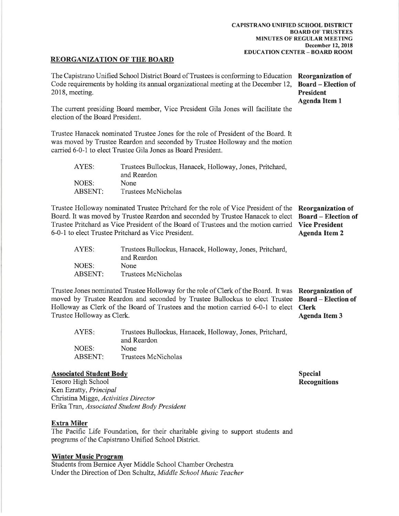#### **REORGANIZATION OF THE BOARD**

| The Capistrano Unified School District Board of Trustees is conforming to Education Reorganization of<br>Code requirements by holding its annual organizational meeting at the December 12,<br>2018, meeting.                                                                                                       |                                                                                                                                                                                                                                                        | <b>Board – Election of</b><br><b>President</b><br><b>Agenda Item 1</b>                           |
|---------------------------------------------------------------------------------------------------------------------------------------------------------------------------------------------------------------------------------------------------------------------------------------------------------------------|--------------------------------------------------------------------------------------------------------------------------------------------------------------------------------------------------------------------------------------------------------|--------------------------------------------------------------------------------------------------|
| The current presiding Board member, Vice President Gila Jones will facilitate the<br>election of the Board President.                                                                                                                                                                                               |                                                                                                                                                                                                                                                        |                                                                                                  |
|                                                                                                                                                                                                                                                                                                                     | Trustee Hanacek nominated Trustee Jones for the role of President of the Board. It<br>was moved by Trustee Reardon and seconded by Trustee Holloway and the motion<br>carried 6-0-1 to elect Trustee Gila Jones as Board President.                    |                                                                                                  |
| AYES:                                                                                                                                                                                                                                                                                                               | Trustees Bullockus, Hanacek, Holloway, Jones, Pritchard,<br>and Reardon                                                                                                                                                                                |                                                                                                  |
| NOES:                                                                                                                                                                                                                                                                                                               | None                                                                                                                                                                                                                                                   |                                                                                                  |
| <b>ABSENT:</b>                                                                                                                                                                                                                                                                                                      | <b>Trustees McNicholas</b>                                                                                                                                                                                                                             |                                                                                                  |
| Trustee Holloway nominated Trustee Pritchard for the role of Vice President of the<br>Board. It was moved by Trustee Reardon and seconded by Trustee Hanacek to elect<br>Trustee Pritchard as Vice President of the Board of Trustees and the motion carried<br>6-0-1 to elect Trustee Pritchard as Vice President. |                                                                                                                                                                                                                                                        | Reorganization of<br><b>Board – Election of</b><br><b>Vice President</b><br><b>Agenda Item 2</b> |
| AYES:                                                                                                                                                                                                                                                                                                               | Trustees Bullockus, Hanacek, Holloway, Jones, Pritchard,<br>and Reardon                                                                                                                                                                                |                                                                                                  |
| NOES:                                                                                                                                                                                                                                                                                                               | None                                                                                                                                                                                                                                                   |                                                                                                  |
| <b>ABSENT:</b>                                                                                                                                                                                                                                                                                                      | <b>Trustees McNicholas</b>                                                                                                                                                                                                                             |                                                                                                  |
| Trustee Holloway as Clerk.                                                                                                                                                                                                                                                                                          | Trustee Jones nominated Trustee Holloway for the role of Clerk of the Board. It was<br>moved by Trustee Reardon and seconded by Trustee Bullockus to elect Trustee<br>Holloway as Clerk of the Board of Trustees and the motion carried 6-0-1 to elect | Reorganization of<br><b>Board – Election of</b><br><b>Clerk</b><br><b>Agenda Item 3</b>          |
| AYES:                                                                                                                                                                                                                                                                                                               | Trustees Bullockus, Hanacek, Holloway, Jones, Pritchard,<br>and Reardon                                                                                                                                                                                |                                                                                                  |
| <b>NOES:</b>                                                                                                                                                                                                                                                                                                        | None                                                                                                                                                                                                                                                   |                                                                                                  |

**ABSENT:** Trustees McNicholas

## **Associated Student Body**

Tesoro High School Ken Ezratty, Principal Christina Migge, Activities Director Erika Tran, Associated Student Body President

#### **Extra Miler**

The Pacific Life Foundation, for their charitable giving to support students and programs of the Capistrano Unified School District.

#### **Winter Music Program**

Students from Bernice Ayer Middle School Chamber Orchestra Under the Direction of Don Schultz, Middle School Music Teacher **Special Recognitions**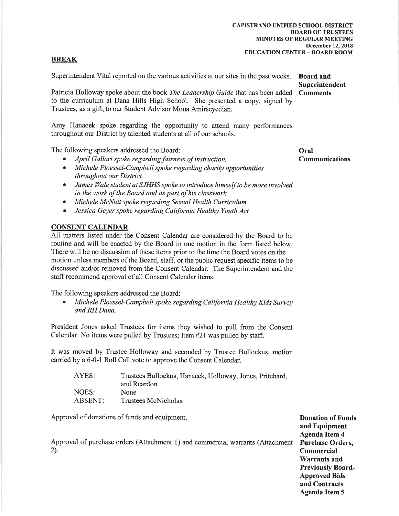#### CAPISTRANO UNIFIED SCHOOL DISTRICT **BOARD OF TRUSTEES MINUTES OF REGULAR MEETING** December 12, 2018 **EDUCATION CENTER - BOARD ROOM**

## **BREAK**

Superintendent Vital reported on the various activities at our sites in the past weeks.

Patricia Holloway spoke about the book The Leadership Guide that has been added to the curriculum at Dana Hills High School. She presented a copy, signed by Trustees, as a gift, to our Student Advisor Mona Amirseyedian.

Amy Hanacek spoke regarding the opportunity to attend many performances throughout our District by talented students at all of our schools.

The following speakers addressed the Board:

- April Gallart spoke regarding fairness of instruction.
- Michele Ploessel-Campbell spoke regarding charity opportunities  $\bullet$ throughout our District.
- James Wale student at SJHHS spoke to introduce himself to be more involved in the work of the Board and as part of his classwork.
- Michele McNutt spoke regarding Sexual Health Curriculum
- Jessica Geyer spoke regarding California Healthy Youth Act  $\bullet$

## **CONSENT CALENDAR**

All matters listed under the Consent Calendar are considered by the Board to be routine and will be enacted by the Board in one motion in the form listed below. There will be no discussion of these items prior to the time the Board votes on the motion unless members of the Board, staff, or the public request specific items to be discussed and/or removed from the Consent Calendar. The Superintendent and the staff recommend approval of all Consent Calendar items.

The following speakers addressed the Board:

Michele Ploessel-Campbell spoke regarding California Healthy Kids Survey and RH Dana

President Jones asked Trustees for items they wished to pull from the Consent Calendar. No items were pulled by Trustees; Item #21 was pulled by staff.

It was moved by Trustee Holloway and seconded by Trustee Bullockus, motion carried by a 6-0-1 Roll Call vote to approve the Consent Calendar.

| AYES:   | Trustees Bullockus, Hanacek, Holloway, Jones, Pritchard, |
|---------|----------------------------------------------------------|
|         | and Reardon                                              |
| NOES:   | None                                                     |
| ABSENT: | Trustees McNicholas                                      |

Approval of donations of funds and equipment.

Approval of purchase orders (Attachment 1) and commercial warrants (Attachment  $2$ ).

**Board and Superintendent Comments** 

Oral **Communications** 

**Donation of Funds** and Equipment **Agenda Item 4 Purchase Orders.** Commercial **Warrants and Previously Board-Approved Bids** and Contracts **Agenda Item 5**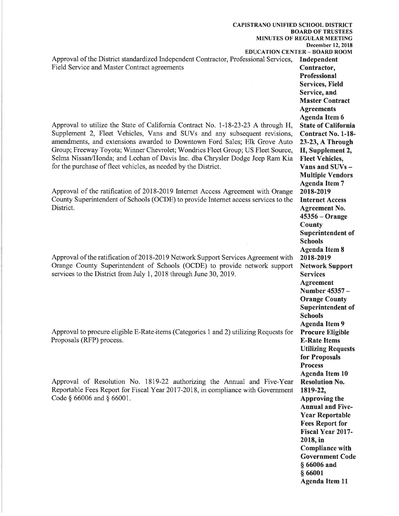**CAPISTRANO UNIFIED SCHOOL DISTRICT BOARD OF TRUSTEES MINUTES OF REGULAR MEETING EDUCATION CENTER - BOARD ROOM** Approval of the District standardized Independent Contractor, Professional Services, Independent Field Service and Master Contract agreements Contractor, Professional Service, and **Agreements** Approval to utilize the State of California Contract No. 1-18-23-23 A through H, Supplement 2, Fleet Vehicles, Vans and SUVs and any subsequent revisions, amendments, and extensions awarded to Downtown Ford Sales; Elk Grove Auto Group; Freeway Toyota; Winner Chevrolet; Wondries Fleet Group; US Fleet Source, Selma Nissan/Honda; and Leehan of Davis Inc. dba Chrysler Dodge Jeep Ram Kia for the purchase of fleet vehicles, as needed by the District. Approval of the ratification of 2018-2019 Internet Access Agreement with Orange 2018-2019 County Superintendent of Schools (OCDE) to provide Internet access services to the District. **County Schools** Approval of the ratification of 2018-2019 Network Support Services Agreement with 2018-2019 Orange County Superintendent of Schools (OCDE) to provide network support services to the District from July 1, 2018 through June 30, 2019. **Services Agreement Schools** Approval to procure eligible E-Rate-items (Categories 1 and 2) utilizing Requests for Proposals (RFP) process. **Process** Approval of Resolution No. 1819-22 authorizing the Annual and Five-Year Reportable Fees Report for Fiscal Year 2017-2018, in compliance with Government 1819-22, Code § 66006 and § 66001.

December 12, 2018 **Services, Field Master Contract Agenda Item 6 State of California Contract No. 1-18-**23-23, A Through H, Supplement 2, **Fleet Vehicles,** Vans and SUVs -**Multiple Vendors Agenda Item 7 Internet Access Agreement No.**  $45356 - Orange$ Superintendent of **Agenda Item 8 Network Support** Number 45357 -**Orange County** Superintendent of **Agenda Item 9 Procure Eligible E-Rate Items Utilizing Requests** for Proposals **Agenda Item 10 Resolution No. Approving the Annual and Five-Year Reportable Fees Report for** Fiscal Year 2017-2018, in **Compliance with Government Code** § 66006 and § 66001 **Agenda Item 11**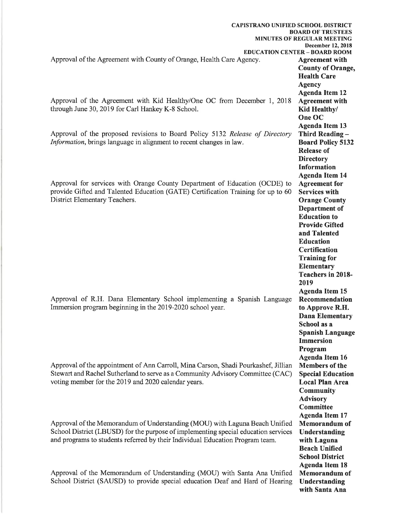| <b>CAPISTRANO UNIFIED SCHOOL DISTRICT</b>                                                                                                                 | <b>BOARD OF TRUSTEES</b>                                         |
|-----------------------------------------------------------------------------------------------------------------------------------------------------------|------------------------------------------------------------------|
|                                                                                                                                                           | MINUTES OF REGULAR MEETING                                       |
|                                                                                                                                                           | <b>December 12, 2018</b><br><b>EDUCATION CENTER - BOARD ROOM</b> |
| Approval of the Agreement with County of Orange, Health Care Agency.                                                                                      | <b>Agreement with</b>                                            |
|                                                                                                                                                           | <b>County of Orange,</b>                                         |
|                                                                                                                                                           | <b>Health Care</b>                                               |
|                                                                                                                                                           | <b>Agency</b>                                                    |
|                                                                                                                                                           | <b>Agenda Item 12</b>                                            |
| Approval of the Agreement with Kid Healthy/One OC from December 1, 2018                                                                                   | <b>Agreement with</b>                                            |
| through June 30, 2019 for Carl Hankey K-8 School.                                                                                                         | Kid Healthy/                                                     |
|                                                                                                                                                           | One OC                                                           |
| Approval of the proposed revisions to Board Policy 5132 Release of Directory                                                                              | <b>Agenda Item 13</b><br>Third Reading -                         |
| Information, brings language in alignment to recent changes in law.                                                                                       | <b>Board Policy 5132</b>                                         |
|                                                                                                                                                           | <b>Release of</b>                                                |
|                                                                                                                                                           | <b>Directory</b>                                                 |
|                                                                                                                                                           | <b>Information</b>                                               |
|                                                                                                                                                           | <b>Agenda Item 14</b>                                            |
| Approval for services with Orange County Department of Education (OCDE) to                                                                                | <b>Agreement</b> for                                             |
| provide Gifted and Talented Education (GATE) Certification Training for up to 60                                                                          | <b>Services with</b>                                             |
| District Elementary Teachers.                                                                                                                             | <b>Orange County</b>                                             |
|                                                                                                                                                           | Department of                                                    |
|                                                                                                                                                           | <b>Education</b> to                                              |
|                                                                                                                                                           | <b>Provide Gifted</b><br>and Talented                            |
|                                                                                                                                                           | <b>Education</b>                                                 |
|                                                                                                                                                           | <b>Certification</b>                                             |
|                                                                                                                                                           | <b>Training for</b>                                              |
|                                                                                                                                                           | Elementary                                                       |
|                                                                                                                                                           | <b>Teachers in 2018-</b>                                         |
|                                                                                                                                                           | 2019                                                             |
|                                                                                                                                                           | <b>Agenda Item 15</b>                                            |
| Approval of R.H. Dana Elementary School implementing a Spanish Language                                                                                   | Recommendation                                                   |
| Immersion program beginning in the 2019-2020 school year.                                                                                                 | to Approve R.H.                                                  |
|                                                                                                                                                           | <b>Dana Elementary</b>                                           |
|                                                                                                                                                           | School as a                                                      |
|                                                                                                                                                           | <b>Spanish Language</b>                                          |
|                                                                                                                                                           | <b>Immersion</b>                                                 |
|                                                                                                                                                           | Program<br><b>Agenda Item 16</b>                                 |
| Approval of the appointment of Ann Carroll, Mina Carson, Shadi Pourkashef, Jillian                                                                        | <b>Members of the</b>                                            |
| Stewart and Rachel Sutherland to serve as a Community Advisory Committee (CAC)                                                                            | <b>Special Education</b>                                         |
| voting member for the 2019 and 2020 calendar years.                                                                                                       | <b>Local Plan Area</b>                                           |
|                                                                                                                                                           | <b>Community</b>                                                 |
|                                                                                                                                                           | <b>Advisory</b>                                                  |
|                                                                                                                                                           | <b>Committee</b>                                                 |
|                                                                                                                                                           | <b>Agenda Item 17</b>                                            |
| Approval of the Memorandum of Understanding (MOU) with Laguna Beach Unified                                                                               | <b>Memorandum</b> of                                             |
| School District (LBUSD) for the purpose of implementing special education services                                                                        | Understanding                                                    |
| and programs to students referred by their Individual Education Program team.                                                                             | with Laguna                                                      |
|                                                                                                                                                           | <b>Beach Unified</b>                                             |
|                                                                                                                                                           | <b>School District</b>                                           |
|                                                                                                                                                           | <b>Agenda Item 18</b>                                            |
| Approval of the Memorandum of Understanding (MOU) with Santa Ana Unified<br>School District (SAUSD) to provide special education Deaf and Hard of Hearing | <b>Memorandum</b> of                                             |
|                                                                                                                                                           | Understanding<br>with Santa Ana                                  |
|                                                                                                                                                           |                                                                  |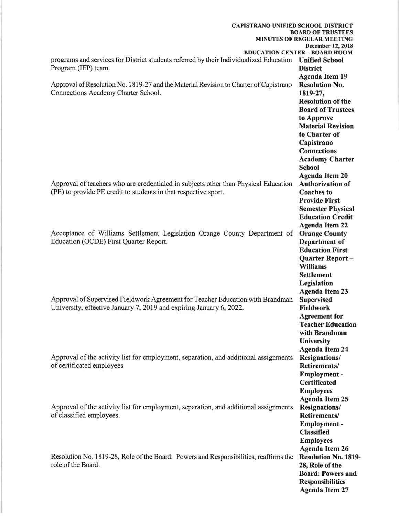| <b>CAPISTRANO UNIFIED SCHOOL DISTRICT</b>                                                             |                                                        |
|-------------------------------------------------------------------------------------------------------|--------------------------------------------------------|
|                                                                                                       | <b>BOARD OF TRUSTEES</b><br>MINUTES OF REGULAR MEETING |
|                                                                                                       | December 12, 2018                                      |
|                                                                                                       | <b>EDUCATION CENTER - BOARD ROOM</b>                   |
| programs and services for District students referred by their Individualized Education Unified School |                                                        |
| Program (IEP) team.                                                                                   | <b>District</b>                                        |
|                                                                                                       | <b>Agenda Item 19</b>                                  |
| Approval of Resolution No. 1819-27 and the Material Revision to Charter of Capistrano                 | <b>Resolution No.</b>                                  |
| Connections Academy Charter School.                                                                   | 1819-27,                                               |
|                                                                                                       | <b>Resolution of the</b>                               |
|                                                                                                       | <b>Board of Trustees</b>                               |
|                                                                                                       | to Approve                                             |
|                                                                                                       | <b>Material Revision</b>                               |
|                                                                                                       | to Charter of                                          |
|                                                                                                       | Capistrano                                             |
|                                                                                                       | <b>Connections</b>                                     |
|                                                                                                       | <b>Academy Charter</b>                                 |
|                                                                                                       | <b>School</b>                                          |
|                                                                                                       | <b>Agenda Item 20</b>                                  |
| Approval of teachers who are credentialed in subjects other than Physical Education                   | <b>Authorization of</b>                                |
| (PE) to provide PE credit to students in that respective sport.                                       | <b>Coaches</b> to                                      |
|                                                                                                       | <b>Provide First</b>                                   |
|                                                                                                       | <b>Semester Physical</b>                               |
|                                                                                                       | <b>Education Credit</b>                                |
|                                                                                                       | <b>Agenda Item 22</b>                                  |
| Acceptance of Williams Settlement Legislation Orange County Department of                             | <b>Orange County</b>                                   |
| Education (OCDE) First Quarter Report.                                                                | Department of                                          |
|                                                                                                       | <b>Education First</b>                                 |
|                                                                                                       | Quarter Report -                                       |
|                                                                                                       | <b>Williams</b>                                        |
|                                                                                                       | <b>Settlement</b>                                      |
|                                                                                                       | Legislation                                            |
|                                                                                                       | <b>Agenda Item 23</b>                                  |
| Approval of Supervised Fieldwork Agreement for Teacher Education with Brandman                        | Supervised                                             |
| University, effective January 7, 2019 and expiring January 6, 2022.                                   | <b>Fieldwork</b>                                       |
|                                                                                                       | <b>Agreement</b> for                                   |
|                                                                                                       | <b>Teacher Education</b>                               |
|                                                                                                       | with Brandman                                          |
|                                                                                                       | <b>University</b>                                      |
|                                                                                                       | <b>Agenda Item 24</b>                                  |
| Approval of the activity list for employment, separation, and additional assignments                  | <b>Resignations/</b>                                   |
| of certificated employees                                                                             | Retirements/                                           |
|                                                                                                       | Employment -                                           |
|                                                                                                       | <b>Certificated</b>                                    |
|                                                                                                       | <b>Employees</b>                                       |
|                                                                                                       | <b>Agenda Item 25</b>                                  |
| Approval of the activity list for employment, separation, and additional assignments                  | <b>Resignations/</b>                                   |
| of classified employees.                                                                              | Retirements/                                           |
|                                                                                                       | Employment -                                           |
|                                                                                                       | <b>Classified</b>                                      |
|                                                                                                       | <b>Employees</b>                                       |
|                                                                                                       | <b>Agenda Item 26</b>                                  |
| Resolution No. 1819-28, Role of the Board: Powers and Responsibilities, reaffirms the                 | <b>Resolution No. 1819-</b>                            |
| role of the Board.                                                                                    | 28, Role of the                                        |
|                                                                                                       | <b>Board: Powers and</b>                               |
|                                                                                                       | <b>Responsibilities</b>                                |
|                                                                                                       | <b>Agenda Item 27</b>                                  |
|                                                                                                       |                                                        |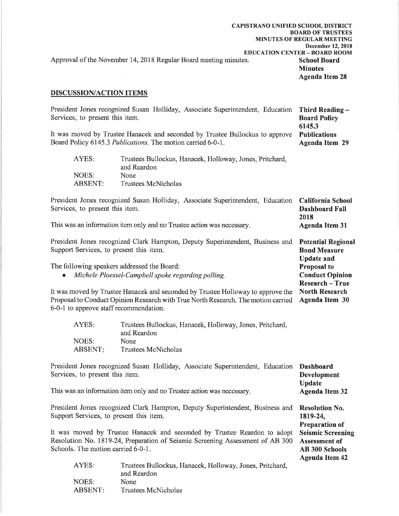|                                                                  | <b>CAPISTRANO UNIFIED SCHOOL DISTRICT</b> |
|------------------------------------------------------------------|-------------------------------------------|
|                                                                  | <b>BOARD OF TRUSTEES</b>                  |
|                                                                  | <b>MINUTES OF REGULAR MEETING</b>         |
|                                                                  | December 12, 2018                         |
|                                                                  | <b>EDUCATION CENTER - BOARD ROOM</b>      |
| Approval of the November 14, 2018 Regular Board meeting minutes. | <b>School Board</b>                       |
|                                                                  | <b>Minutes</b>                            |
|                                                                  | <b>Agenda Item 28</b>                     |
|                                                                  |                                           |

#### **DISCUSSION/ACTION ITEMS**

|                                 |                                                             | President Jones recognized Susan Holliday, Associate Superintendent, Education Third Reading - |                     |
|---------------------------------|-------------------------------------------------------------|------------------------------------------------------------------------------------------------|---------------------|
| Services, to present this item. |                                                             |                                                                                                | <b>Board Policy</b> |
|                                 |                                                             |                                                                                                | 6145.3              |
|                                 |                                                             | It was moved by Trustee Hanacek and seconded by Trustee Bullockus to approve                   | <b>Publications</b> |
|                                 | Board Policy 6145.3 Publications. The motion carried 6-0-1. |                                                                                                | Agenda Item 29      |
| AYES:                           | and Reardon                                                 | Trustees Bullockus, Hanacek, Holloway, Jones, Pritchard,                                       |                     |

|         | and <b>wava</b>     |
|---------|---------------------|
| NOES:   | None                |
| ABSENT: | Trustees McNicholas |

| President Jones recognized Susan Holliday, Associate Superintendent, Education California School<br>Services, to present this item.<br>This was an information item only and no Trustee action was necessary. | <b>Dashboard Fall</b><br>2018<br><b>Agenda Item 31</b>                |
|---------------------------------------------------------------------------------------------------------------------------------------------------------------------------------------------------------------|-----------------------------------------------------------------------|
| President Jones recognized Clark Hampton, Deputy Superintendent, Business and<br>Support Services, to present this item.                                                                                      | <b>Potential Regional</b><br><b>Bond Measure</b><br><b>Update and</b> |
| The following speakers addressed the Board:                                                                                                                                                                   | <b>Proposal to</b>                                                    |

**Conduct Opinion** 

**Research - True** 

**Update** 

1819-24, **Preparation of** 

**Agenda Item 32** 

**Resolution No.** 

**Assessment of** 

**AB 300 Schools Agenda Item 42** 

**Seismic Screening** 

The following speakers addressed the Board:

Michele Ploessel-Campbell spoke regarding polling.  $\bullet$ 

It was moved by Trustee Hanacek and seconded by Trustee Holloway to approve the **North Research** Proposal to Conduct Opinion Research with True North Research. The motion carried **Agenda Item 30** 6-0-1 to approve staff recommendation.

| Trustees Bullockus, Hanacek, Holloway, Jones, Pritchard, |
|----------------------------------------------------------|
| and Reardon                                              |
| None                                                     |
| Trustees McNicholas                                      |
|                                                          |

President Jones recognized Susan Holliday, Associate Superintendent, Education **Dashboard** Services, to present this item. **Development** 

This was an information item only and no Trustee action was necessary.

President Jones recognized Clark Hampton, Deputy Superintendent, Business and Support Services, to present this item.

It was moved by Trustee Hanacek and seconded by Trustee Reardon to adopt Resolution No. 1819-24, Preparation of Seismic Screening Assessment of AB 300 Schools. The motion carried 6-0-1.

| AYES:   | Trustees Bullockus, Hanacek, Holloway, Jones, Pritchard, |
|---------|----------------------------------------------------------|
|         | and Reardon                                              |
| NOES:   | None                                                     |
| ABSENT: | Trustees McNicholas                                      |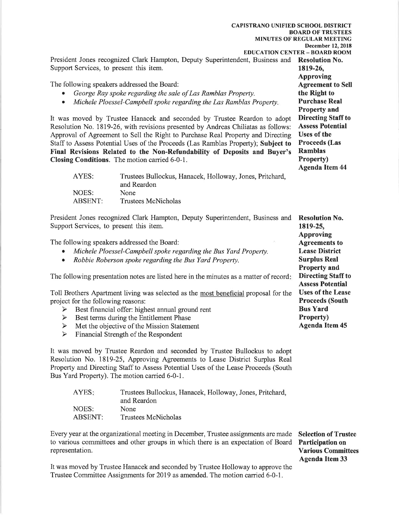| <b>CAPISTRANO UNIFIED SCHOOL DISTRICT</b><br>President Jones recognized Clark Hampton, Deputy Superintendent, Business and Resolution No.<br>Support Services, to present this item.<br>The following speakers addressed the Board:<br>George Ray spoke regarding the sale of Las Ramblas Property.<br>Michele Ploessel-Campbell spoke regarding the Las Ramblas Property.<br>$\bullet$<br>It was moved by Trustee Hanacek and seconded by Trustee Reardon to adopt<br>Resolution No. 1819-26, with revisions presented by Andreas Chiliatas as follows:<br>Approval of Agreement to Sell the Right to Purchase Real Property and Directing<br>Staff to Assess Potential Uses of the Proceeds (Las Ramblas Property); Subject to<br>Final Revisions Related to the Non-Refundability of Deposits and Buyer's<br>Closing Conditions. The motion carried 6-0-1.<br>AYES:<br>Trustees Bullockus, Hanacek, Holloway, Jones, Pritchard,<br>and Reardon<br>NOES:<br>None<br><b>ABSENT:</b><br><b>Trustees McNicholas</b> | <b>BOARD OF TRUSTEES</b><br>MINUTES OF REGULAR MEETING<br><b>December 12, 2018</b><br><b>EDUCATION CENTER - BOARD ROOM</b><br>1819-26,<br><b>Approving</b><br><b>Agreement to Sell</b><br>the Right to<br><b>Purchase Real</b><br><b>Property and</b><br><b>Directing Staff to</b><br><b>Assess Potential</b><br><b>Uses of the</b><br><b>Proceeds</b> (Las<br><b>Ramblas</b><br>Property)<br><b>Agenda Item 44</b> |
|--------------------------------------------------------------------------------------------------------------------------------------------------------------------------------------------------------------------------------------------------------------------------------------------------------------------------------------------------------------------------------------------------------------------------------------------------------------------------------------------------------------------------------------------------------------------------------------------------------------------------------------------------------------------------------------------------------------------------------------------------------------------------------------------------------------------------------------------------------------------------------------------------------------------------------------------------------------------------------------------------------------------|---------------------------------------------------------------------------------------------------------------------------------------------------------------------------------------------------------------------------------------------------------------------------------------------------------------------------------------------------------------------------------------------------------------------|
| President Jones recognized Clark Hampton, Deputy Superintendent, Business and<br>Support Services, to present this item.<br>The following speakers addressed the Board:<br>Michele Ploessel-Campbell spoke regarding the Bus Yard Property.<br>Robbie Roberson spoke regarding the Bus Yard Property.<br>٠                                                                                                                                                                                                                                                                                                                                                                                                                                                                                                                                                                                                                                                                                                         | <b>Resolution No.</b><br>1819-25,<br><b>Approving</b><br><b>Agreements to</b><br><b>Lease District</b><br><b>Surplus Real</b>                                                                                                                                                                                                                                                                                       |
| <b>Property and</b><br><b>Directing Staff to</b><br>The following presentation notes are listed here in the minutes as a matter of record:<br><b>Assess Potential</b><br><b>Uses of the Lease</b><br>Toll Brothers Apartment living was selected as the most beneficial proposal for the<br><b>Proceeds (South</b><br>project for the following reasons:<br><b>Bus Yard</b><br>> Best financial offer: highest annual ground rent<br>Property)<br>$\blacktriangleright$<br>Best terms during the Entitlement Phase<br><b>Agenda Item 45</b><br>$\blacktriangleright$<br>Met the objective of the Mission Statement<br>$\blacktriangleright$<br>Financial Strength of the Respondent<br>It was moved by Trustee Reardon and seconded by Trustee Bullockus to adopt<br>Resolution No. 1819-25, Approving Agreements to Lease District Surplus Real                                                                                                                                                                   |                                                                                                                                                                                                                                                                                                                                                                                                                     |

Bus Yard Property). The motion carried 6-0-1.

| AYES:          | Trustees Bullockus, Hanacek, Holloway, Jones, Pritchard, |
|----------------|----------------------------------------------------------|
|                | and Reardon                                              |
| NOES:          | None                                                     |
| <b>ABSENT:</b> | Trustees McNicholas                                      |

Every year at the organizational meeting in December, Trustee assignments are made<br>to various committees and other groups in which there is an expectation of Board representation.

**Selection of Trustee** Participation on **Various Committees Agenda Item 33** 

It was moved by Trustee Hanacek and seconded by Trustee Holloway to approve the Trustee Committee Assignments for 2019 as amended. The motion carried 6-0-1.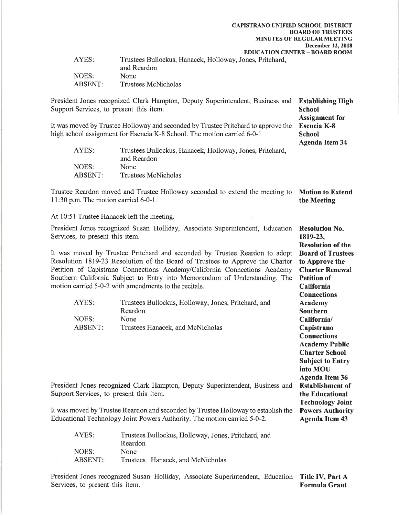1819-23,

**Resolution of the** 

**Board of Trustees** 

**Charter Renewal** 

**Academy Public Charter School Subject to Entry** into MOU **Agenda Item 36** 

**Establishment of** 

the Educational **Technology Joint** 

**Powers Authority** 

**Agenda Item 43** 

to Approve the

California

| AYES:   | Trustees Bullockus, Hanacek, Holloway, Jones, Pritchard,<br>and Reardon |
|---------|-------------------------------------------------------------------------|
| NOES:   | None.                                                                   |
| ABSENT: | Trustees McNicholas                                                     |

President Jones recognized Clark Hampton, Deputy Superintendent, Business and **Establishing High** Support Services, to present this item. **School Assignment** for It was moved by Trustee Holloway and seconded by Trustee Pritchard to approve the **Esencia K-8** high school assignment for Esencia K-8 School. The motion carried 6-0-1 **School Agenda Item 34** Trustees Bullockus, Hanacek, Holloway, Jones, Pritchard, AYES: and Reardon NOES: None **ABSENT:** Trustees McNicholas

Trustee Reardon moved and Trustee Holloway seconded to extend the meeting to **Motion to Extend** 11:30 p.m. The motion carried  $6-0-1$ . the Meeting

At 10:51 Trustee Hanacek left the meeting.

President Jones recognized Susan Holliday, Associate Superintendent, Education **Resolution No.** Services, to present this item.

It was moved by Trustee Pritchard and seconded by Trustee Reardon to adopt Resolution 1819-23 Resolution of the Board of Trustees to Approve the Charter Petition of Capistrano Connections Academy/California Connections Academy Southern California Subject to Entry into Memorandum of Understanding. The **Petition of** motion carried 5-0-2 with amendments to the recitals.

| AYES:   | Trustees Bullockus, Holloway, Jones, Pritchard, and | <b>Connections</b><br>Academy |
|---------|-----------------------------------------------------|-------------------------------|
|         | Reardon                                             | Southern                      |
| NOES:   | <b>None</b>                                         | California/                   |
| ABSENT: | Trustees Hanacek, and McNicholas                    | Capistrano                    |
|         |                                                     | <b>Connections</b>            |

President Jones recognized Clark Hampton, Deputy Superintendent, Business and Support Services, to present this item.

It was moved by Trustee Reardon and seconded by Trustee Holloway to establish the Educational Technology Joint Powers Authority. The motion carried 5-0-2.

| AYES:   | Trustees Bullockus, Holloway, Jones, Pritchard, and |
|---------|-----------------------------------------------------|
|         | Reardon                                             |
| NOES:   | None                                                |
| ABSENT: | Trustees Hanacek, and McNicholas                    |

President Jones recognized Susan Holliday, Associate Superintendent, Education Title IV, Part A Services, to present this item. **Formula Grant**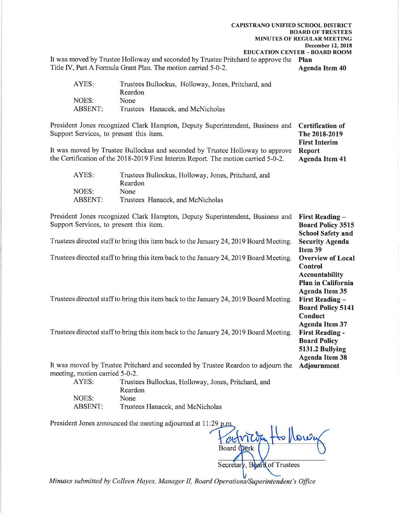**CAPISTRANO UNIFIED SCHOOL DISTRICT BOARD OF TRUSTEES MINUTES OF REGULAR MEETING December 12, 2018 EDUCATION CENTER - BOARD ROOM** 

**First Interim** 

It was moved by Trustee Holloway and seconded by Trustee Pritchard to approve the Plan Title IV, Part A Formula Grant Plan. The motion carried 5-0-2. **Agenda Item 40** 

| AYES:          | Trustees Bullockus, Holloway, Jones, Pritchard, and |
|----------------|-----------------------------------------------------|
|                | Reardon                                             |
| NOES:          | None.                                               |
| <b>ABSENT:</b> | Trustees Hanacek, and McNicholas                    |

President Jones recognized Clark Hampton, Deputy Superintendent, Business and **Certification of** Support Services, to present this item. The 2018-2019

It was moved by Trustee Bullockus and seconded by Trustee Holloway to approve **Report** the Certification of the 2018-2019 First Interim Report. The motion carried 5-0-2. **Agenda Item 41** 

| AYES:          | Trustees Bullockus, Holloway, Jones, Pritchard, and |
|----------------|-----------------------------------------------------|
|                | Reardon                                             |
| NOES:          | None.                                               |
| <b>ABSENT:</b> | Trustees Hanacek, and McNicholas                    |

President Jones recognized Clark Hampton, Deputy Superintendent, Business and First Reading -Support Services, to present this item. **Board Policy 3515 School Safety and** Trustees directed staff to bring this item back to the January 24, 2019 Board Meeting. **Security Agenda** Item 39 Trustees directed staff to bring this item back to the January 24, 2019 Board Meeting. **Overview of Local Control Accountability** Plan in California **Agenda Item 35 First Reading -**Trustees directed staff to bring this item back to the January 24, 2019 Board Meeting. **Board Policy 5141** Conduct **Agenda Item 37 First Reading -**Trustees directed staff to bring this item back to the January 24, 2019 Board Meeting. **Board Policy** 5131.2 Bullying **Agenda Item 38** It was moved by Trustee Pritchard and seconded by Trustee Reardon to adjourn the **Adjournment** 

meeting, motion carried 5-0-2.

AYES: Trustees Bullockus, Holloway, Jones, Pritchard, and Reardon NOES: None **ABSENT:** Trustees Hanacek, and McNicholas

President Jones announced the meeting adjourned at 11:29 p.m.

**Board Clerk** v. Board of Trustees Secretar

Minutes submitted by Colleen Hayes, Manager II, Board Operations/Superintendent's Office